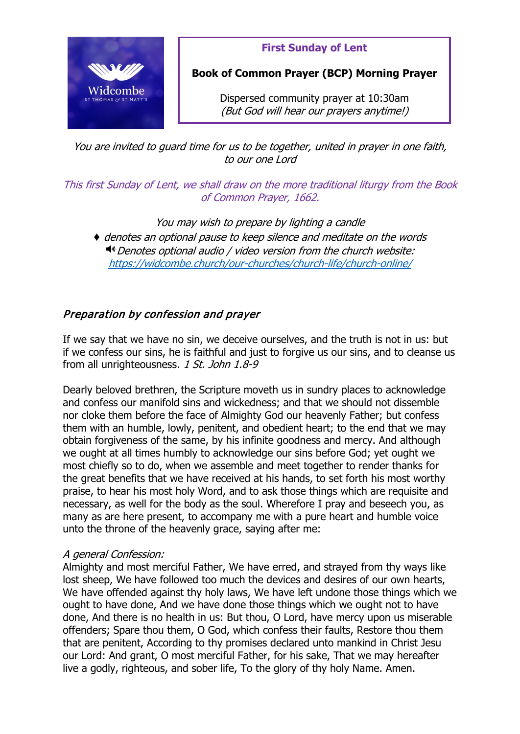

**First Sunday of Lent**

**Book of Common Prayer (BCP) Morning Prayer**

Dispersed community prayer at 10:30am (But God will hear our prayers anytime!)

You are invited to guard time for us to be together, united in prayer in one faith, to our one Lord

This first Sunday of Lent, we shall draw on the more traditional liturgy from the Book of Common Prayer, 1662.

You may wish to prepare by lighting a candle

♦ denotes an optional pause to keep silence and meditate on the words  $\triangleleft$ <sup>®</sup> Denotes optional audio / video version from the church website: <https://widcombe.church/our-churches/church-life/church-online/>

## Preparation by confession and prayer

If we say that we have no sin, we deceive ourselves, and the truth is not in us: but if we confess our sins, he is faithful and just to forgive us our sins, and to cleanse us from all unrighteousness. 1 St. John 1.8-9

Dearly beloved brethren, the Scripture moveth us in sundry places to acknowledge and confess our manifold sins and wickedness; and that we should not dissemble nor cloke them before the face of Almighty God our heavenly Father; but confess them with an humble, lowly, penitent, and obedient heart; to the end that we may obtain forgiveness of the same, by his infinite goodness and mercy. And although we ought at all times humbly to acknowledge our sins before God; yet ought we most chiefly so to do, when we assemble and meet together to render thanks for the great benefits that we have received at his hands, to set forth his most worthy praise, to hear his most holy Word, and to ask those things which are requisite and necessary, as well for the body as the soul. Wherefore I pray and beseech you, as many as are here present, to accompany me with a pure heart and humble voice unto the throne of the heavenly grace, saying after me:

#### A general Confession:

Almighty and most merciful Father, We have erred, and strayed from thy ways like lost sheep, We have followed too much the devices and desires of our own hearts, We have offended against thy holy laws, We have left undone those things which we ought to have done, And we have done those things which we ought not to have done, And there is no health in us: But thou, O Lord, have mercy upon us miserable offenders; Spare thou them, O God, which confess their faults, Restore thou them that are penitent, According to thy promises declared unto mankind in Christ Jesu our Lord: And grant, O most merciful Father, for his sake, That we may hereafter live a godly, righteous, and sober life, To the glory of thy holy Name. Amen.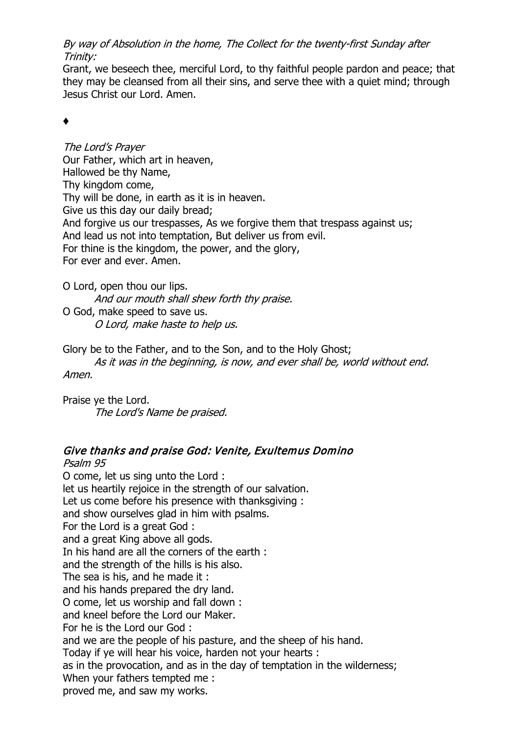By way of Absolution in the home, The Collect for the twenty-first Sunday after Trinity:

Grant, we beseech thee, merciful Lord, to thy faithful people pardon and peace; that they may be cleansed from all their sins, and serve thee with a quiet mind; through Jesus Christ our Lord. Amen.

## ♦

The Lord's Prayer Our Father, which art in heaven, Hallowed be thy Name, Thy kingdom come, Thy will be done, in earth as it is in heaven. Give us this day our daily bread; And forgive us our trespasses, As we forgive them that trespass against us; And lead us not into temptation, But deliver us from evil. For thine is the kingdom, the power, and the glory, For ever and ever. Amen.

O Lord, open thou our lips. And our mouth shall shew forth thy praise.

O God, make speed to save us. O Lord, make haste to help us.

Glory be to the Father, and to the Son, and to the Holy Ghost;

As it was in the beginning, is now, and ever shall be, world without end. Amen.

Praise ye the Lord. The Lord's Name be praised.

## Give thanks and praise God: Venite, Exultemus Domino

Psalm 95 O come, let us sing unto the Lord : let us heartily rejoice in the strength of our salvation. Let us come before his presence with thanksgiving : and show ourselves glad in him with psalms. For the Lord is a great God : and a great King above all gods. In his hand are all the corners of the earth : and the strength of the hills is his also. The sea is his, and he made it : and his hands prepared the dry land. O come, let us worship and fall down : and kneel before the Lord our Maker. For he is the Lord our God : and we are the people of his pasture, and the sheep of his hand. Today if ye will hear his voice, harden not your hearts : as in the provocation, and as in the day of temptation in the wilderness; When your fathers tempted me : proved me, and saw my works.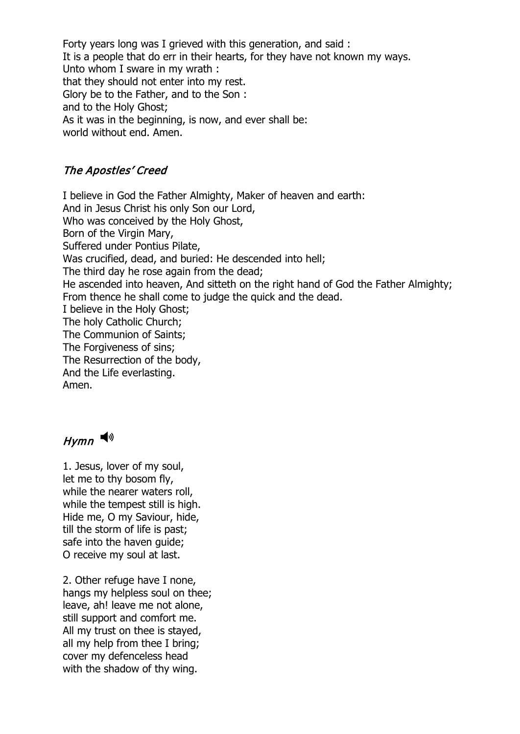Forty years long was I grieved with this generation, and said : It is a people that do err in their hearts, for they have not known my ways. Unto whom I sware in my wrath : that they should not enter into my rest. Glory be to the Father, and to the Son : and to the Holy Ghost; As it was in the beginning, is now, and ever shall be: world without end. Amen.

### The Apostles' Creed

I believe in God the Father Almighty, Maker of heaven and earth: And in Jesus Christ his only Son our Lord, Who was conceived by the Holy Ghost, Born of the Virgin Mary, Suffered under Pontius Pilate, Was crucified, dead, and buried: He descended into hell; The third day he rose again from the dead; He ascended into heaven, And sitteth on the right hand of God the Father Almighty; From thence he shall come to judge the quick and the dead. I believe in the Holy Ghost; The holy Catholic Church; The Communion of Saints; The Forgiveness of sins; The Resurrection of the body, And the Life everlasting. Amen.

# $H$ ymn

1. Jesus, lover of my soul, let me to thy bosom fly, while the nearer waters roll, while the tempest still is high. Hide me, O my Saviour, hide, till the storm of life is past; safe into the haven guide; O receive my soul at last.

2. Other refuge have I none, hangs my helpless soul on thee; leave, ah! leave me not alone, still support and comfort me. All my trust on thee is stayed, all my help from thee I bring; cover my defenceless head with the shadow of thy wing.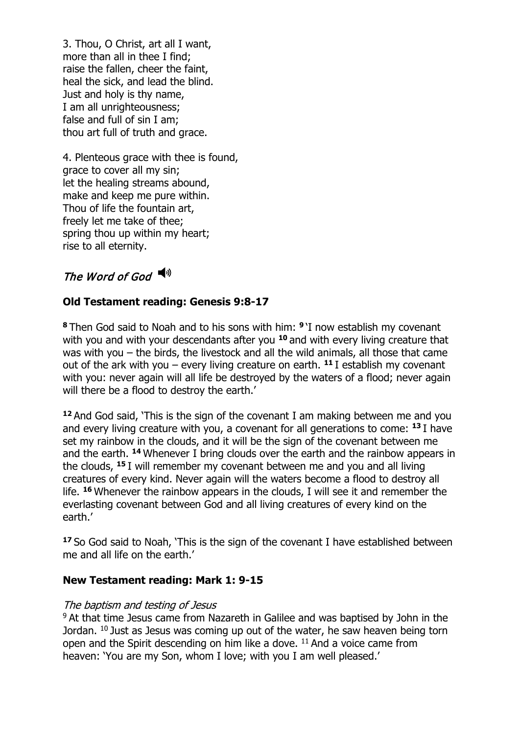3. Thou, O Christ, art all I want, more than all in thee I find; raise the fallen, cheer the faint, heal the sick, and lead the blind. Just and holy is thy name, I am all unrighteousness; false and full of sin I am; thou art full of truth and grace.

4. Plenteous grace with thee is found, grace to cover all my sin; let the healing streams abound, make and keep me pure within. Thou of life the fountain art, freely let me take of thee; spring thou up within my heart; rise to all eternity.

## The Word of God  $\blacktriangleleft$ <sup>9</sup>

## **Old Testament reading: Genesis 9:8-17**

**<sup>8</sup>** Then God said to Noah and to his sons with him: **<sup>9</sup>** 'I now establish my covenant with you and with your descendants after you **<sup>10</sup>** and with every living creature that was with you – the birds, the livestock and all the wild animals, all those that came out of the ark with you – every living creature on earth. **<sup>11</sup>** I establish my covenant with you: never again will all life be destroyed by the waters of a flood; never again will there be a flood to destroy the earth.'

**<sup>12</sup>** And God said, 'This is the sign of the covenant I am making between me and you and every living creature with you, a covenant for all generations to come: **<sup>13</sup>** I have set my rainbow in the clouds, and it will be the sign of the covenant between me and the earth. **<sup>14</sup>** Whenever I bring clouds over the earth and the rainbow appears in the clouds, **<sup>15</sup>** I will remember my covenant between me and you and all living creatures of every kind. Never again will the waters become a flood to destroy all life. **<sup>16</sup>** Whenever the rainbow appears in the clouds, I will see it and remember the everlasting covenant between God and all living creatures of every kind on the earth.'

**<sup>17</sup>** So God said to Noah, 'This is the sign of the covenant I have established between me and all life on the earth.'

#### **New Testament reading: Mark 1: 9-15**

#### The baptism and testing of Jesus

<sup>9</sup> At that time Jesus came from Nazareth in Galilee and was baptised by John in the Jordan. <sup>10</sup> Just as Jesus was coming up out of the water, he saw heaven being torn open and the Spirit descending on him like a dove. <sup>11</sup> And a voice came from heaven: 'You are my Son, whom I love; with you I am well pleased.'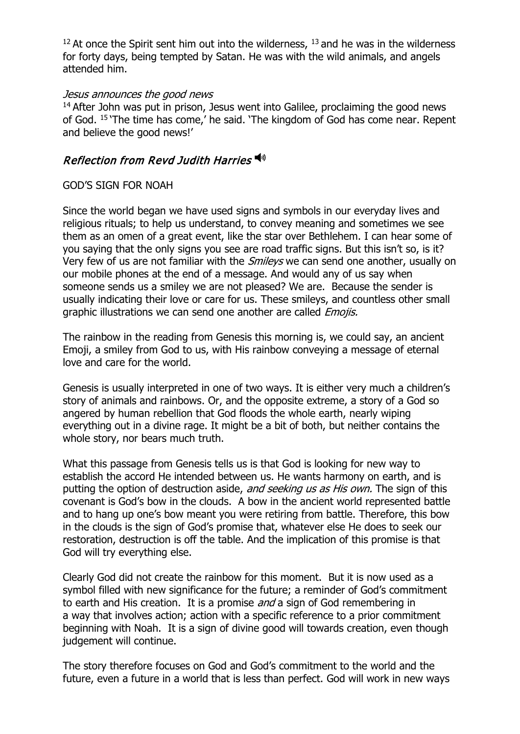$12$  At once the Spirit sent him out into the wilderness,  $13$  and he was in the wilderness for forty days, being tempted by Satan. He was with the wild animals, and angels attended him.

#### Jesus announces the good news

 $14$  After John was put in prison, Jesus went into Galilee, proclaiming the good news of God. <sup>15</sup> 'The time has come,' he said. 'The kingdom of God has come near. Repent and believe the good news!'

## **Reflection from Revd Judith Harries**

#### GOD'S SIGN FOR NOAH

Since the world began we have used signs and symbols in our everyday lives and religious rituals; to help us understand, to convey meaning and sometimes we see them as an omen of a great event, like the star over Bethlehem. I can hear some of you saying that the only signs you see are road traffic signs. But this isn't so, is it? Very few of us are not familiar with the *Smileys* we can send one another, usually on our mobile phones at the end of a message. And would any of us say when someone sends us a smiley we are not pleased? We are. Because the sender is usually indicating their love or care for us. These smileys, and countless other small graphic illustrations we can send one another are called *Emojis.* 

The rainbow in the reading from Genesis this morning is, we could say, an ancient Emoji, a smiley from God to us, with His rainbow conveying a message of eternal love and care for the world.

Genesis is usually interpreted in one of two ways. It is either very much a children's story of animals and rainbows. Or, and the opposite extreme, a story of a God so angered by human rebellion that God floods the whole earth, nearly wiping everything out in a divine rage. It might be a bit of both, but neither contains the whole story, nor bears much truth.

What this passage from Genesis tells us is that God is looking for new way to establish the accord He intended between us. He wants harmony on earth, and is putting the option of destruction aside, and seeking us as His own. The sign of this covenant is God's bow in the clouds. A bow in the ancient world represented battle and to hang up one's bow meant you were retiring from battle. Therefore, this bow in the clouds is the sign of God's promise that, whatever else He does to seek our restoration, destruction is off the table. And the implication of this promise is that God will try everything else.

Clearly God did not create the rainbow for this moment. But it is now used as a symbol filled with new significance for the future; a reminder of God's commitment to earth and His creation. It is a promise and a sign of God remembering in a way that involves action; action with a specific reference to a prior commitment beginning with Noah. It is a sign of divine good will towards creation, even though judgement will continue.

The story therefore focuses on God and God's commitment to the world and the future, even a future in a world that is less than perfect. God will work in new ways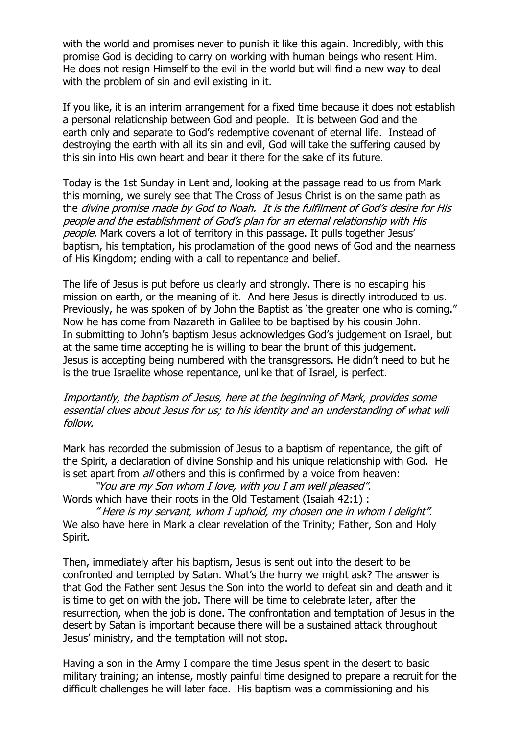with the world and promises never to punish it like this again. Incredibly, with this promise God is deciding to carry on working with human beings who resent Him. He does not resign Himself to the evil in the world but will find a new way to deal with the problem of sin and evil existing in it.

If you like, it is an interim arrangement for a fixed time because it does not establish a personal relationship between God and people. It is between God and the earth only and separate to God's redemptive covenant of eternal life. Instead of destroying the earth with all its sin and evil, God will take the suffering caused by this sin into His own heart and bear it there for the sake of its future.

Today is the 1st Sunday in Lent and, looking at the passage read to us from Mark this morning, we surely see that The Cross of Jesus Christ is on the same path as the divine promise made by God to Noah. It is the fulfilment of God's desire for His people and the establishment of God's plan for an eternal relationship with His people. Mark covers a lot of territory in this passage. It pulls together Jesus' baptism, his temptation, his proclamation of the good news of God and the nearness of His Kingdom; ending with a call to repentance and belief.

The life of Jesus is put before us clearly and strongly. There is no escaping his mission on earth, or the meaning of it. And here Jesus is directly introduced to us. Previously, he was spoken of by John the Baptist as 'the greater one who is coming." Now he has come from Nazareth in Galilee to be baptised by his cousin John. In submitting to John's baptism Jesus acknowledges God's judgement on Israel, but at the same time accepting he is willing to bear the brunt of this judgement. Jesus is accepting being numbered with the transgressors. He didn't need to but he is the true Israelite whose repentance, unlike that of Israel, is perfect.

#### Importantly, the baptism of Jesus, here at the beginning of Mark, provides some essential clues about Jesus for us; to his identity and an understanding of what will follow.

Mark has recorded the submission of Jesus to a baptism of repentance, the gift of the Spirit, a declaration of divine Sonship and his unique relationship with God. He is set apart from *all* others and this is confirmed by a voice from heaven:

"You are my Son whom I love, with you I am well pleased". Words which have their roots in the Old Testament (Isaiah 42:1) :

" Here is my servant, whom I uphold, my chosen one in whom l delight". We also have here in Mark a clear revelation of the Trinity; Father, Son and Holy Spirit.

Then, immediately after his baptism, Jesus is sent out into the desert to be confronted and tempted by Satan. What's the hurry we might ask? The answer is that God the Father sent Jesus the Son into the world to defeat sin and death and it is time to get on with the job. There will be time to celebrate later, after the resurrection, when the job is done. The confrontation and temptation of Jesus in the desert by Satan is important because there will be a sustained attack throughout Jesus' ministry, and the temptation will not stop.

Having a son in the Army I compare the time Jesus spent in the desert to basic military training; an intense, mostly painful time designed to prepare a recruit for the difficult challenges he will later face. His baptism was a commissioning and his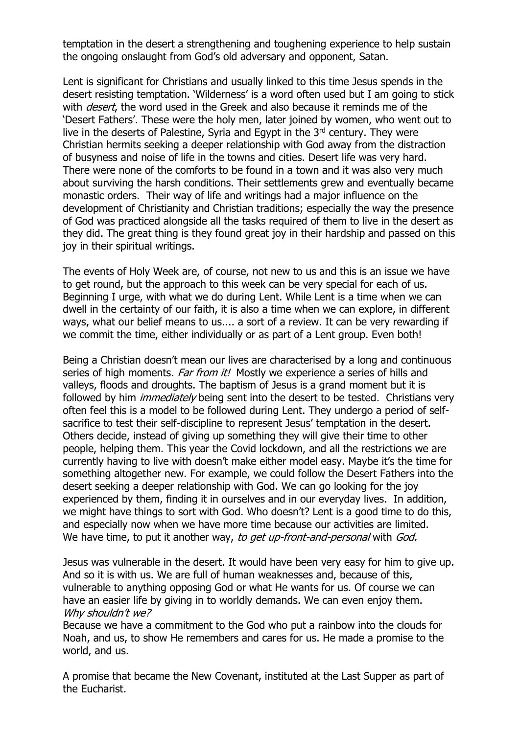temptation in the desert a strengthening and toughening experience to help sustain the ongoing onslaught from God's old adversary and opponent, Satan.

Lent is significant for Christians and usually linked to this time Jesus spends in the desert resisting temptation. 'Wilderness' is a word often used but I am going to stick with *desert*, the word used in the Greek and also because it reminds me of the 'Desert Fathers'. These were the holy men, later joined by women, who went out to live in the deserts of Palestine, Syria and Egypt in the  $3<sup>rd</sup>$  century. They were Christian hermits seeking a deeper relationship with God away from the distraction of busyness and noise of life in the towns and cities. Desert life was very hard. There were none of the comforts to be found in a town and it was also very much about surviving the harsh conditions. Their settlements grew and eventually became monastic orders. Their way of life and writings had a major influence on the development of Christianity and Christian traditions; especially the way the presence of God was practiced alongside all the tasks required of them to live in the desert as they did. The great thing is they found great joy in their hardship and passed on this joy in their spiritual writings.

The events of Holy Week are, of course, not new to us and this is an issue we have to get round, but the approach to this week can be very special for each of us. Beginning I urge, with what we do during Lent. While Lent is a time when we can dwell in the certainty of our faith, it is also a time when we can explore, in different ways, what our belief means to us.... a sort of a review. It can be very rewarding if we commit the time, either individually or as part of a Lent group. Even both!

Being a Christian doesn't mean our lives are characterised by a long and continuous series of high moments. Far from it! Mostly we experience a series of hills and valleys, floods and droughts. The baptism of Jesus is a grand moment but it is followed by him *immediately* being sent into the desert to be tested. Christians very often feel this is a model to be followed during Lent. They undergo a period of selfsacrifice to test their self-discipline to represent Jesus' temptation in the desert. Others decide, instead of giving up something they will give their time to other people, helping them. This year the Covid lockdown, and all the restrictions we are currently having to live with doesn't make either model easy. Maybe it's the time for something altogether new. For example, we could follow the Desert Fathers into the desert seeking a deeper relationship with God. We can go looking for the joy experienced by them, finding it in ourselves and in our everyday lives. In addition, we might have things to sort with God. Who doesn't? Lent is a good time to do this, and especially now when we have more time because our activities are limited. We have time, to put it another way, to get up-front-and-personal with God.

Jesus was vulnerable in the desert. It would have been very easy for him to give up. And so it is with us. We are full of human weaknesses and, because of this, vulnerable to anything opposing God or what He wants for us. Of course we can have an easier life by giving in to worldly demands. We can even enjoy them. Why shouldn't we?

Because we have a commitment to the God who put a rainbow into the clouds for Noah, and us, to show He remembers and cares for us. He made a promise to the world, and us.

A promise that became the New Covenant, instituted at the Last Supper as part of the Eucharist.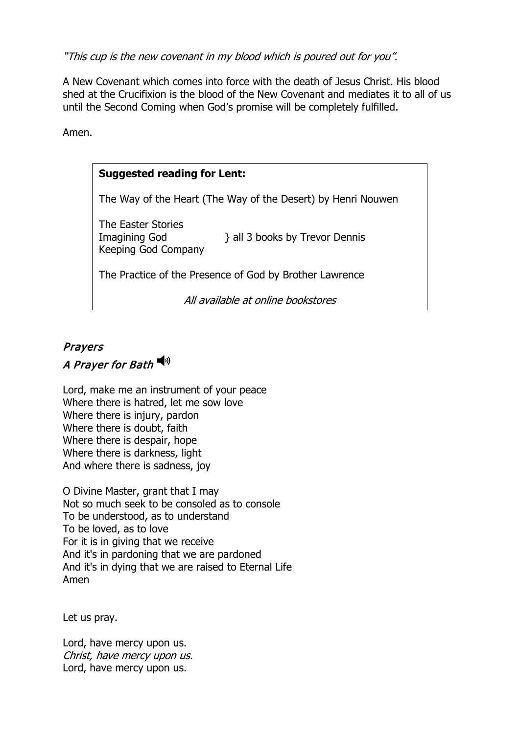"This cup is the new covenant in my blood which is poured out for you".

A New Covenant which comes into force with the death of Jesus Christ. His blood shed at the Crucifixion is the blood of the New Covenant and mediates it to all of us until the Second Coming when God's promise will be completely fulfilled.

Amen.

### **Suggested reading for Lent:**

The Way of the Heart (The Way of the Desert) by Henri Nouwen

The Easter Stories Keeping God Company

Imagining God <br>  $\}$  all 3 books by Trevor Dennis

The Practice of the Presence of God by Brother Lawrence

All available at online bookstores

## Prayers A Prayer for Bath

Lord, make me an instrument of your peace Where there is hatred, let me sow love Where there is injury, pardon Where there is doubt, faith Where there is despair, hope Where there is darkness, light And where there is sadness, joy

O Divine Master, grant that I may Not so much seek to be consoled as to console To be understood, as to understand To be loved, as to love For it is in giving that we receive And it's in pardoning that we are pardoned And it's in dying that we are raised to Eternal Life Amen

Let us pray.

Lord, have mercy upon us. Christ, have mercy upon us. Lord, have mercy upon us.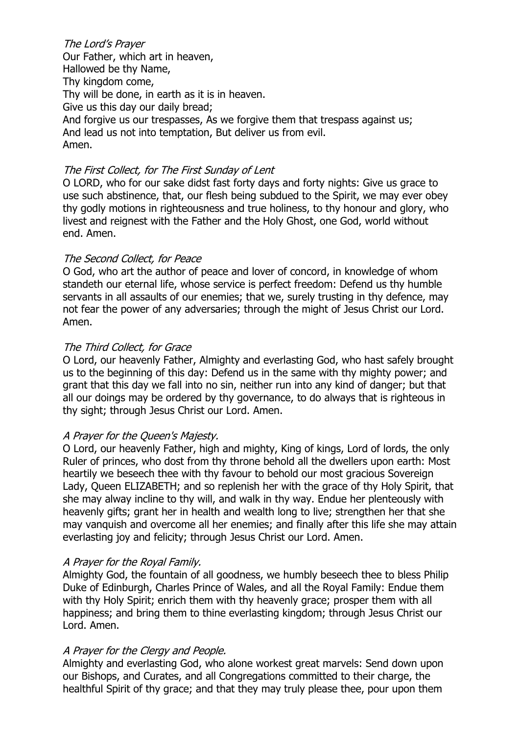The Lord's Prayer Our Father, which art in heaven, Hallowed be thy Name, Thy kingdom come, Thy will be done, in earth as it is in heaven. Give us this day our daily bread; And forgive us our trespasses, As we forgive them that trespass against us; And lead us not into temptation, But deliver us from evil. Amen.

#### The First Collect, for The First Sunday of Lent

O LORD, who for our sake didst fast forty days and forty nights: Give us grace to use such abstinence, that, our flesh being subdued to the Spirit, we may ever obey thy godly motions in righteousness and true holiness, to thy honour and glory, who livest and reignest with the Father and the Holy Ghost, one God, world without end. Amen.

#### The Second Collect, for Peace

O God, who art the author of peace and lover of concord, in knowledge of whom standeth our eternal life, whose service is perfect freedom: Defend us thy humble servants in all assaults of our enemies; that we, surely trusting in thy defence, may not fear the power of any adversaries; through the might of Jesus Christ our Lord. Amen.

#### The Third Collect, for Grace

O Lord, our heavenly Father, Almighty and everlasting God, who hast safely brought us to the beginning of this day: Defend us in the same with thy mighty power; and grant that this day we fall into no sin, neither run into any kind of danger; but that all our doings may be ordered by thy governance, to do always that is righteous in thy sight; through Jesus Christ our Lord. Amen.

#### A Prayer for the Queen's Majesty.

O Lord, our heavenly Father, high and mighty, King of kings, Lord of lords, the only Ruler of princes, who dost from thy throne behold all the dwellers upon earth: Most heartily we beseech thee with thy favour to behold our most gracious Sovereign Lady, Queen ELIZABETH; and so replenish her with the grace of thy Holy Spirit, that she may alway incline to thy will, and walk in thy way. Endue her plenteously with heavenly gifts; grant her in health and wealth long to live; strengthen her that she may vanquish and overcome all her enemies; and finally after this life she may attain everlasting joy and felicity; through Jesus Christ our Lord. Amen.

#### A Prayer for the Royal Family.

Almighty God, the fountain of all goodness, we humbly beseech thee to bless Philip Duke of Edinburgh, Charles Prince of Wales, and all the Royal Family: Endue them with thy Holy Spirit; enrich them with thy heavenly grace; prosper them with all happiness; and bring them to thine everlasting kingdom; through Jesus Christ our Lord. Amen.

#### A Prayer for the Clergy and People.

Almighty and everlasting God, who alone workest great marvels: Send down upon our Bishops, and Curates, and all Congregations committed to their charge, the healthful Spirit of thy grace; and that they may truly please thee, pour upon them